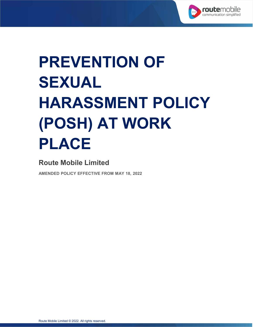

# **PREVENTION OF SEXUAL HARASSMENT POLICY (POSH) AT WORK PLACE**

## **Route Mobile Limited**

**AMENDED POLICY EFFECTIVE FROM MAY 18, 2022**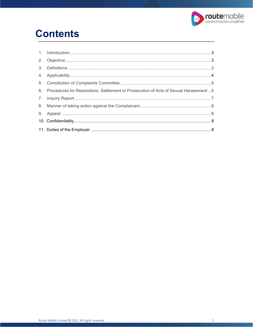

# **Contents**

| 6. Procedures for Resolutions, Settlement or Prosecution of Acts of Sexual Harassment  5 |  |
|------------------------------------------------------------------------------------------|--|
|                                                                                          |  |
|                                                                                          |  |
|                                                                                          |  |
|                                                                                          |  |
|                                                                                          |  |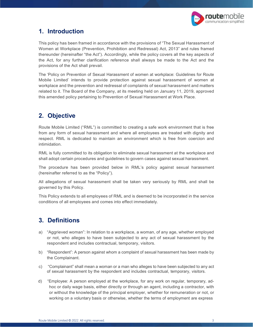

#### <span id="page-2-0"></span>**1. Introduction**

This policy has been framed in accordance with the provisions of "The Sexual Harassment of Women at Workplace (Prevention, Prohibition and Redressal) Act, 2013" and rules framed thereunder (hereinafter "the Act"). Accordingly, while the policy covers all the key aspects of the Act, for any further clarification reference shall always be made to the Act and the provisions of the Act shall prevail.

The 'Policy on Prevention of Sexual Harassment of women at workplace: Guidelines for Route Mobile Limited' intends to provide protection against sexual harassment of women at workplace and the prevention and redressal of complaints of sexual harassment and matters related to it. The Board of the Company, at its meeting held on January 11, 2019, approved this amended policy pertaining to Prevention of Sexual Harassment at Work Place.

### <span id="page-2-1"></span>**2. Objective**

Route Mobile Limited ("RML") is committed to creating a safe work environment that is free from any form of sexual harassment and where all employees are treated with dignity and respect. RML is dedicated to maintain an environment which is free from coercion and intimidation.

RML is fully committed to its obligation to eliminate sexual harassment at the workplace and shall adopt certain procedures and guidelines to govern cases against sexual harassment.

The procedure has been provided below in RML's policy against sexual harassment (hereinafter referred to as the "Policy").

All allegations of sexual harassment shall be taken very seriously by RML and shall be governed by this Policy.

This Policy extends to all employees of RML and is deemed to be incorporated in the service conditions of all employees and comes into effect immediately.

#### <span id="page-2-2"></span>**3. Definitions**

- a) "Aggrieved woman": In relation to a workplace, a woman, of any age, whether employed or not, who alleges to have been subjected to any act of sexual harassment by the respondent and includes contractual, temporary, visitors.
- b) "Respondent": A person against whom a complaint of sexual harassment has been made by the Complainant.
- c) "Complainant" shall mean a woman or a man who alleges to have been subjected to any act of sexual harassment by the respondent and includes contractual, temporary, visitors.
- d) "Employee: A person employed at the workplace, for any work on regular, temporary, adhoc or daily wage basis, either directly or through an agent, including a contractor, with or without the knowledge of the principal employer, whether for remuneration or not, or working on a voluntary basis or otherwise, whether the terms of employment are express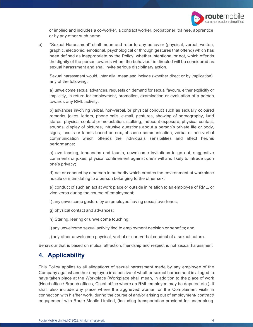

or implied and includes a co-worker, a contract worker, probationer, trainee, apprentice or by any other such name

e) "Sexual Harassment" shall mean and refer to any behavior (physical, verbal, written, graphic, electronic, emotional, psychological or through gestures that offend) which has been defined as inappropriate by the Policy, whether intentional or not, which offends the dignity of the person towards whom the behaviour is directed will be considered as sexual harassment and shall invite serious disciplinary action.

Sexual harassment would, inter alia, mean and include (whether direct or by implication) any of the following:

a) unwelcome sexual advances, requests or demand for sexual favours, either explicitly or implicitly, in return for employment, promotion, examination or evaluation of a person towards any RML activity;

b) advances involving verbal, non-verbal, or physical conduct such as sexually coloured remarks, jokes, letters, phone calls, e-mail, gestures, showing of pornography, lurid stares, physical contact or molestation, stalking, indecent exposure, physical contact, sounds, display of pictures, intrusive questions about a person's private life or body, signs, insults or taunts based on sex, obscene communication, verbal or non-verbal communication which offends the individuals sensibilities and affect her/his performance;

c) eve teasing, innuendos and taunts, unwelcome invitations to go out, suggestive comments or jokes, physical confinement against one's will and likely to intrude upon one's privacy;

d) act or conduct by a person in authority which creates the environment at workplace hostile or intimidating to a person belonging to the other sex;

e) conduct of such an act at work place or outside in relation to an employee of RML, or vice versa during the course of employment;

f) any unwelcome gesture by an employee having sexual overtones;

g) physical contact and advances;

h) Staring, leering or unwelcome touching;

i) any unwelcome sexual activity tied to employment decision or benefits; and

j) any other unwelcome physical, verbal or non-verbal conduct of a sexual nature.

Behaviour that is based on mutual attraction, friendship and respect is not sexual harassment

#### <span id="page-3-0"></span>**4. Applicability**

This Policy applies to all allegations of sexual harassment made by any employee of the Company against another employee irrespective of whether sexual harassment is alleged to have taken place at the Workplace (Workplace shall mean, in addition to the place of work [Head office / Branch offices, Client office where an RML employee may be deputed etc.). It shall also include any place where the aggrieved woman or the Complainant visits in connection with his/her work, during the course of and/or arising out of employment/ contract/ engagement with Route Mobile Limited, (including transportation provided for undertaking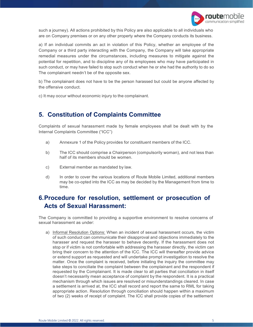

such a journey). All actions prohibited by this Policy are also applicable to all individuals who are on Company premises or on any other property where the Company conducts its business.

a) If an individual commits an act in violation of this Policy, whether an employee of the Company or a third party interacting with the Company, the Company will take appropriate remedial measures under the circumstances, including measures to mitigate against the potential for repetition, and to discipline any of its employees who may have participated in such conduct, or may have failed to stop such conduct when he or she had the authority to do so The complainant needn't be of the opposite sex.

b) The complainant does not have to be the person harassed but could be anyone affected by the offensive conduct.

c) It may occur without economic injury to the complainant.

#### <span id="page-4-0"></span>**5. Constitution of Complaints Committee**

Complaints of sexual harassment made by female employees shall be dealt with by the Internal Complaints Committee ("ICC")

- a) Annexure 1 of the Policy provides for constituent members of the ICC.
- b) The ICC should comprise a Chairperson (compulsorily woman), and not less than half of its members should be women.
- c) External member as mandated by law.
- d) In order to cover the various locations of Route Mobile Limited, additional members may be co-opted into the ICC as may be decided by the Management from time to time.

#### **6.Procedure for resolution, settlement or prosecution of Acts of Sexual Harassment:**

The Company is committed to providing a supportive environment to resolve concerns of sexual harassment as under:

a) Informal Resolution Options: When an incident of sexual harassment occurs, the victim of such conduct can communicate their disapproval and objections immediately to the harasser and request the harasser to behave decently. If the harassment does not stop or if victim is not comfortable with addressing the harasser directly, the victim can bring their concern to the attention of the ICC. The ICC will thereafter provide advice or extend support as requested and will undertake prompt investigation to resolve the matter. Once the complaint is received, before initiating the inquiry the committee may take steps to conciliate the complaint between the complainant and the respondent if requested by the Complainant. It is made clear to all parties that conciliation in itself doesn't necessarily mean acceptance of complaint by the respondent. It is a practical mechanism through which issues are resolved or misunderstandings cleared. In case a settlement is arrived at, the ICC shall record and report the same to RML for taking appropriate action. Resolution through conciliation should happen within a maximum of two (2) weeks of receipt of complaint. The ICC shall provide copies of the settlement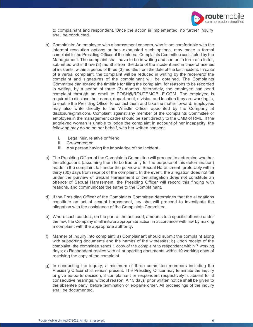

to complainant and respondent. Once the action is implemented, no further inquiry shall be conducted.

- b) Complaints: An employee with a harassment concern, who is not comfortable with the informal resolution options or has exhausted such options, may make a formal complaint to the Presiding Officer of the Internal Complaints Committee constituted by the Management. The complaint shall have to be in writing and can be in form of a letter, submitted within three (3) months from the date of the incident and in case of aseries of incidents, within a period of three (3) months from the date of the last incident. In case of a verbal complaint, the complaint will be reduced in writing by the receiverof the complaint and signatures of the complainant will be obtained. The Complaints Committee can extend the timeline for filing the complaint, for reasons to be recorded in writing, by a period of three (3) months. Alternately, the employee can send complaint through an email to [POSH@ROUTEMOBILE.COM.](mailto:POSH@ROUTEMOBILE.COM) The employee is required to disclose their name, department, division and location they are working in, to enable the Presiding Officer to contact them and take the matter forward. Employees may also write directly to the Whistle Officer appointed by the Company at [disclosure@rml.com. C](mailto:disclosure@rml.com)omplaint against any member of the Complaints Committee or employee in the management cadre should be sent directly to the CMD of RML. If the aggrieved woman is unable to lodge the complaint in account of her incapacity, the following may do so on her behalf, with her written consent.
	- i. Legal heir, relative or friend;
	- ii. Co-worker; or
	- iii. Any person having the knowledge of the incident.
- c) The Presiding Officer of the Complaints Committee will proceed to determine whether the allegations (assuming them to be true only for the purpose of this determination) made in the complaint fall under the purview of Sexual Harassment, preferably within thirty (30) days from receipt of the complaint. In the event, the allegation does not fall under the purview of Sexual Harassment or the allegation does not constitute an offence of Sexual Harassment, the Presiding Officer will record this finding with reasons, and communicate the same to the Complainant.
- d) If the Presiding Officer of the Complaints Committee determines that the allegations constitute an act of sexual harassment, he/ she will proceed to investigate the allegation with the assistance of the Complaints Committee.
- e) Where such conduct, on the part of the accused, amounts to a specific offence under the law, the Company shall initiate appropriate action in accordance with law by making a complaint with the appropriate authority.
- f) Manner of inquiry into complaint: a) Complainant should submit the complaint along with supporting documents and the names of the witnesses; b) Upon receipt of the complaint, the committee sends 1 copy of the complaint to respondent within 7 working days; c) Respondent replies with all supporting documents within 10 working days of receiving the copy of the complaint
- g) In conducting the inquiry, a minimum of three committee members including the Presiding Officer shall remain present. The Presiding Officer may terminate the inquiry or give ex-parte decision, if complainant or respondent respectively is absent for 3 consecutive hearings, without reason. A 15 days' prior written notice shall be given to the absentee party, before termination or ex-parte order. All proceedings of the inquiry shall be documented.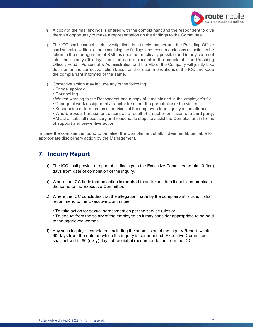

- h) A copy of the final findings is shared with the complainant and the respondent to give them an opportunity to make a representation on the findings to the Committee.
- i) The ICC shall conduct such investigations in a timely manner and the Presiding Officer shall submit a written report containing the findings and recommendations on action to be taken to the management of RML as soon as practically possible and in any case,not later than ninety (90) days from the date of receipt of the complaint. The Presiding Officer, Head - Personnel & Administration and the MD of the Company will jointly take decision on the corrective action based on the recommendations of the ICC and keep the complainant informed of the same.
- j) Corrective action may include any of the following:
	- Formal apology
	- Counselling
	- Written warning to the Respondent and a copy of it maintained in the employee's file.
	- Change of work assignment / transfer for either the perpetrator or the victim.
	- Suspension or termination of services of the employee found guilty of the offence.

• Where Sexual harassment occurs as a result of an act or omission of a third party, RML shall take all necessary and reasonable steps to assist the Complainant in terms of support and preventive action.

In case the complaint is found to be false, the Complainant shall, if deemed fit, be liable for appropriate disciplinary action by the Management.

#### <span id="page-6-0"></span>**7. Inquiry Report**

- a) The ICC shall provide a report of its findings to the Executive Committee within 10 (ten) days from date of completion of the inquiry.
- b) Where the ICC finds that no action is required to be taken, then it shall communicate the same to the Executive Committee.
- c) Where the ICC concludes that the allegation made by the complainant is true, it shall recommend to the Executive Committee:
	- To take action for sexual harassment as per the service rules or
	- To deduct from the salary of the employee as it may consider appropriate to be paid to the aggrieved woman.
- d) Any such inquiry is completed, including the submission of the Inquiry Report, within 90 days from the date on which the inquiry is commenced. Executive Committee shall act within 60 (sixty) days of receipt of recommendation from the ICC.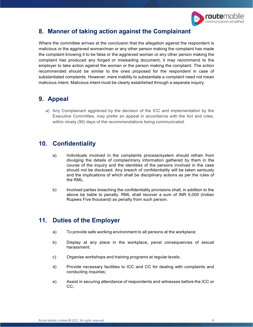

#### <span id="page-7-0"></span>**8. Manner of taking action against the Complainant**

Where the committee arrives at the conclusion that the allegation against the respondent is malicious or the aggrieved woman/man or any other person making the complaint has made the complaint knowing it to be false or the aggrieved woman or any other person making the complaint has produced any forged or misleading document, it may recommend to the employer to take action against the woman or the person making the complaint. The action recommended should be similar to the ones proposed for the respondent in case of substantiated complaints. However, mere inability to substantiate a complaint need not mean malicious intent. Malicious intent must be clearly established through a separate inquiry.

#### <span id="page-7-1"></span>**9. Appeal**

a) Any Complainant aggrieved by the decision of the ICC and implementation by the Executive Committee, may prefer an appeal in accordance with the Act and rules, within ninety (90) days of the recommendations being communicated.

#### <span id="page-7-2"></span>**10. Confidentiality**

- a) Individuals involved in the complaints process/system should refrain from divulging the details of complaint/any information gathered by them in the course of the inquiry and the identities of the persons involved in the case should not be disclosed. Any breach of confidentiality will be taken seriously and the implications of which shall be disciplinary actions as per the rules of the RML.
- b) Involved parties breaching the confidentiality provisions shall, in addition to the above be liable to penalty. RML shall recover a sum of INR 5,000 (Indian Rupees Five thousand) as penalty from such person.

#### <span id="page-7-3"></span>**11. Duties of the Employer**

- a) To provide safe working environment to all persons at the workplace;
- b) Display at any place in the workplace, penal consequences of sexual harassment;
- c) Organise workshops and training programs at regular levels;
- d) Provide necessary facilities to ICC and CC for dealing with complaints and conducting inquiries;
- e) Assist in securing attendance of respondents and witnesses before the ICC or CC;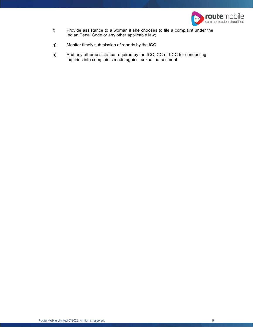

- f) Provide assistance to a woman if she chooses to file a complaint under the Indian Penal Code or any other applicable law;
- g) Monitor timely submission of reports by the ICC;
- h) And any other assistance required by the ICC, CC or LCC for conducting inquiries into complaints made against sexual harassment.